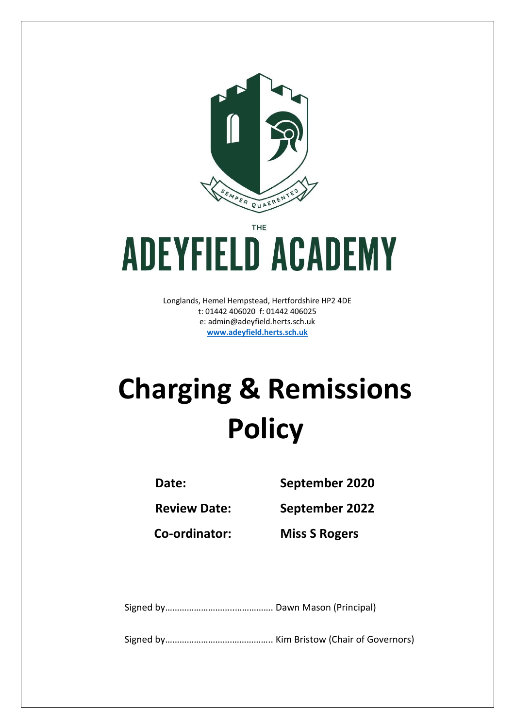

THE

# **ADEYFIELD ACADEMY**

Longlands, Hemel Hempstead, Hertfordshire HP2 4DE t: 01442 406020 f: 01442 406025 e: [admin@adeyfield.herts.sch.uk](mailto:admin@adeyfield.herts.sch.uk) **[www.adeyfield.herts.sch.uk](http://www.adeyfield.herts.sch.uk/)**

# **Charging & Remissions Policy**

**Date: September 2020**

**Review Date: September 2022**

**Co-ordinator: Miss S Rogers**

Signed by………………………..……………. Dawn Mason (Principal)

Signed by……………………….…………….. Kim Bristow (Chair of Governors)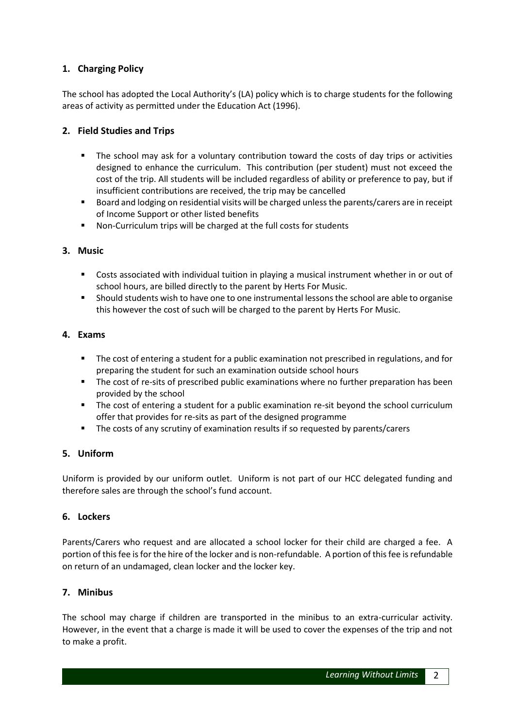# **1. Charging Policy**

The school has adopted the Local Authority's (LA) policy which is to charge students for the following areas of activity as permitted under the Education Act (1996).

## **2. Field Studies and Trips**

- The school may ask for a voluntary contribution toward the costs of day trips or activities designed to enhance the curriculum. This contribution (per student) must not exceed the cost of the trip. All students will be included regardless of ability or preference to pay, but if insufficient contributions are received, the trip may be cancelled
- Board and lodging on residential visits will be charged unless the parents/carers are in receipt of Income Support or other listed benefits
- Non-Curriculum trips will be charged at the full costs for students

#### **3. Music**

- Costs associated with individual tuition in playing a musical instrument whether in or out of school hours, are billed directly to the parent by Herts For Music.
- Should students wish to have one to one instrumental lessons the school are able to organise this however the cost of such will be charged to the parent by Herts For Music.

#### **4. Exams**

- The cost of entering a student for a public examination not prescribed in regulations, and for preparing the student for such an examination outside school hours
- **The cost of re-sits of prescribed public examinations where no further preparation has been** provided by the school
- **The cost of entering a student for a public examination re-sit beyond the school curriculum** offer that provides for re-sits as part of the designed programme
- The costs of any scrutiny of examination results if so requested by parents/carers

#### **5. Uniform**

Uniform is provided by our uniform outlet. Uniform is not part of our HCC delegated funding and therefore sales are through the school's fund account.

#### **6. Lockers**

Parents/Carers who request and are allocated a school locker for their child are charged a fee. A portion of this fee is for the hire of the locker and is non-refundable. A portion of this fee is refundable on return of an undamaged, clean locker and the locker key.

#### **7. Minibus**

The school may charge if children are transported in the minibus to an extra-curricular activity. However, in the event that a charge is made it will be used to cover the expenses of the trip and not to make a profit.